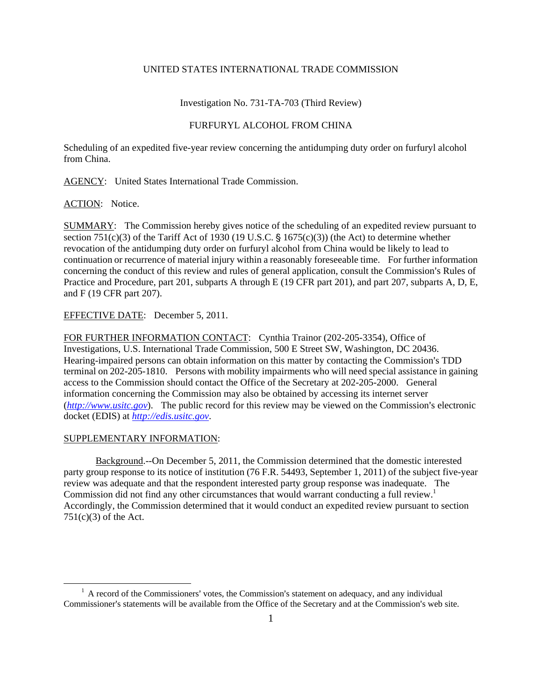## UNITED STATES INTERNATIONAL TRADE COMMISSION

## Investigation No. 731-TA-703 (Third Review)

## FURFURYL ALCOHOL FROM CHINA

Scheduling of an expedited five-year review concerning the antidumping duty order on furfuryl alcohol from China.

AGENCY: United States International Trade Commission.

ACTION: Notice.

SUMMARY: The Commission hereby gives notice of the scheduling of an expedited review pursuant to section 751(c)(3) of the Tariff Act of 1930 (19 U.S.C.  $\S$  1675(c)(3)) (the Act) to determine whether revocation of the antidumping duty order on furfuryl alcohol from China would be likely to lead to continuation or recurrence of material injury within a reasonably foreseeable time. For further information concerning the conduct of this review and rules of general application, consult the Commission's Rules of Practice and Procedure, part 201, subparts A through E (19 CFR part 201), and part 207, subparts A, D, E, and F (19 CFR part 207).

EFFECTIVE DATE: December 5, 2011.

FOR FURTHER INFORMATION CONTACT: Cynthia Trainor (202-205-3354), Office of Investigations, U.S. International Trade Commission, 500 E Street SW, Washington, DC 20436. Hearing-impaired persons can obtain information on this matter by contacting the Commission's TDD terminal on 202-205-1810. Persons with mobility impairments who will need special assistance in gaining access to the Commission should contact the Office of the Secretary at 202-205-2000. General information concerning the Commission may also be obtained by accessing its internet server  $(http://www.ustc.gov)$ . The public record for this review may be viewed on the Commission's electronic docket (EDIS) at *http://edis.usitc.gov*.

## SUPPLEMENTARY INFORMATION:

 $\overline{a}$ 

Background.--On December 5, 2011, the Commission determined that the domestic interested party group response to its notice of institution (76 F.R. 54493, September 1, 2011) of the subject five-year review was adequate and that the respondent interested party group response was inadequate. The Commission did not find any other circumstances that would warrant conducting a full review.<sup>1</sup> Accordingly, the Commission determined that it would conduct an expedited review pursuant to section  $751(c)(3)$  of the Act.

 $<sup>1</sup>$  A record of the Commissioners' votes, the Commission's statement on adequacy, and any individual</sup> Commissioner's statements will be available from the Office of the Secretary and at the Commission's web site.